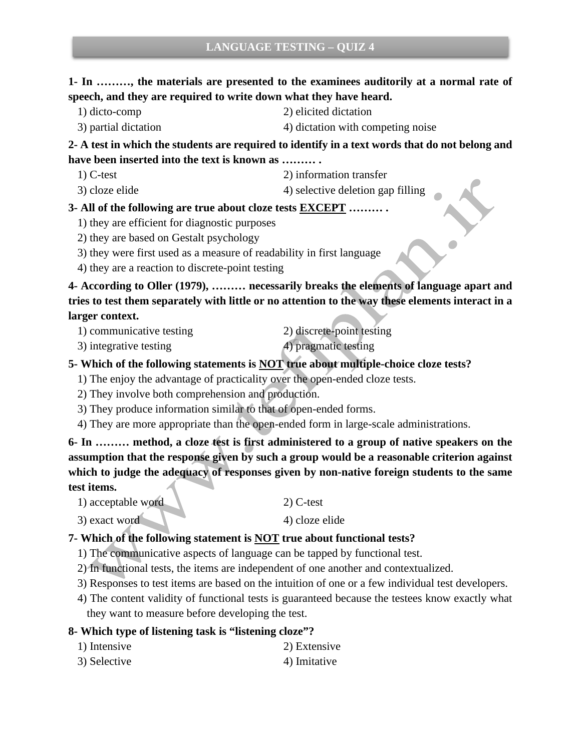# **1- In ………, the materials are presented to the examinees auditorily at a normal rate of speech, and they are required to write down what they have heard.**

- 
- 1) dicto-comp 2) elicited dictation
- 3) partial dictation 4) dictation with competing noise

**2- A test in which the students are required to identify in a text words that do not belong and have been inserted into the text is known as ……… .**

- 1) C-test 2) information transfer
- 3) cloze elide 4) selective deletion gap filling

### **3- All of the following are true about cloze tests EXCEPT ……… .**

- 1) they are efficient for diagnostic purposes
- 2) they are based on Gestalt psychology
- 3) they were first used as a measure of readability in first language
- 4) they are a reaction to discrete-point testing

**4- According to Oller (1979), ……… necessarily breaks the elements of language apart and tries to test them separately with little or no attention to the way these elements interact in a larger context.**

- 1) communicative testing 2) discrete-point testing
	-
- 3) integrative testing 4) pragmatic testing

### **5- Which of the following statements is NOT true about multiple-choice cloze tests?**

- 1) The enjoy the advantage of practicality over the open-ended cloze tests.
- 2) They involve both comprehension and production.
- 3) They produce information similar to that of open-ended forms.
- 4) They are more appropriate than the open-ended form in large-scale administrations.

**6- In ……… method, a cloze test is first administered to a group of native speakers on the assumption that the response given by such a group would be a reasonable criterion against which to judge the adequacy of responses given by non-native foreign students to the same test items.**

1) acceptable word 2) C-test

 $3)$  exact word  $4)$  cloze elide

# **7- Which of the following statement is NOT true about functional tests?**

- 1) The communicative aspects of language can be tapped by functional test.
- 2) In functional tests, the items are independent of one another and contextualized.
- 3) Responses to test items are based on the intuition of one or a few individual test developers.
- 4) The content validity of functional tests is guaranteed because the testees know exactly what they want to measure before developing the test.

# **8- Which type of listening task is "listening cloze"?**

- 1) Intensive 2) Extensive
- 3) Selective 4) Imitative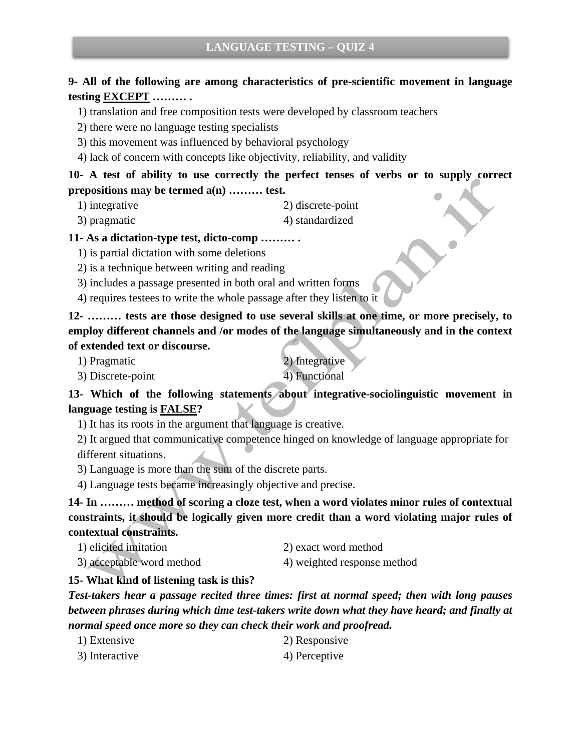# **9- All of the following are among characteristics of pre-scientific movement in language testing EXCEPT ……… .**

1) translation and free composition tests were developed by classroom teachers

2) there were no language testing specialists

3) this movement was influenced by behavioral psychology

4) lack of concern with concepts like objectivity, reliability, and validity

**10- A test of ability to use correctly the perfect tenses of verbs or to supply correct prepositions may be termed a(n) ……… test.**

- 1) integrative 2) discrete-point
- 3) pragmatic 4) standardized

#### **11- As a dictation-type test, dicto-comp ……… .**

1) is partial dictation with some deletions

2) is a technique between writing and reading

3) includes a passage presented in both oral and written forms

4) requires testees to write the whole passage after they listen to it

**12- ……… tests are those designed to use several skills at one time, or more precisely, to employ different channels and /or modes of the language simultaneously and in the context of extended text or discourse.**

1) Pragmatic 2) Integrative

3) Discrete-point 4) Functional

**13- Which of the following statements about integrative-sociolinguistic movement in language testing is FALSE?**

1) It has its roots in the argument that language is creative.

2) It argued that communicative competence hinged on knowledge of language appropriate for different situations.

3) Language is more than the sum of the discrete parts.

4) Language tests became increasingly objective and precise.

**14- In ……… method of scoring a cloze test, when a word violates minor rules of contextual constraints, it should be logically given more credit than a word violating major rules of contextual constraints.** 

- 1) elicited imitation 2) exact word method
	-
- 

3) acceptable word method 4) weighted response method

#### **15- What kind of listening task is this?**

*Test-takers hear a passage recited three times: first at normal speed; then with long pauses between phrases during which time test-takers write down what they have heard; and finally at normal speed once more so they can check their work and proofread.*

- 1) Extensive 2) Responsive 3) Interactive 4) Perceptive
-